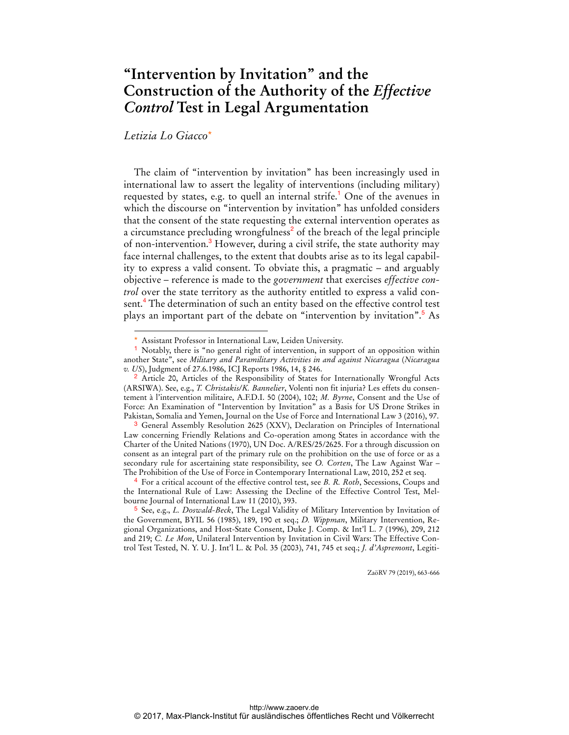## **"Intervention by Invitation" and the Construction of the Authority of the** *Effective Control* **Test in Legal Argumentation**

## *Letizia Lo Giacco*\*

 $\overline{a}$ 

The claim of "intervention by invitation" has been increasingly used in international law to assert the legality of interventions (including military) requested by states, e.g. to quell an internal strife.<sup>1</sup> One of the avenues in which the discourse on "intervention by invitation" has unfolded considers that the consent of the state requesting the external intervention operates as a circumstance precluding wrongfulness<sup>2</sup> of the breach of the legal principle of non-intervention.<sup>3</sup> However, during a civil strife, the state authority may face internal challenges, to the extent that doubts arise as to its legal capability to express a valid consent. To obviate this, a pragmatic – and arguably objective – reference is made to the *government* that exercises *effective control* over the state territory as the authority entitled to express a valid consent.<sup>4</sup> The determination of such an entity based on the effective control test plays an important part of the debate on "intervention by invitation".<sup>5</sup> As

ZaöRV 79 (2019), 663-666

Assistant Professor in International Law, Leiden University.

<sup>1</sup> Notably, there is "no general right of intervention, in support of an opposition within another State", see *Military and Paramilitary Activities in and against Nicaragua* (*Nicaragua v. US*), Judgment of 27.6.1986, ICJ Reports 1986, 14, § 246.

<sup>&</sup>lt;sup>2</sup> Article 20, Articles of the Responsibility of States for Internationally Wrongful Acts (ARSIWA). See, e.g., *T. Christakis/K. Bannelier*, Volenti non fit injuria? Les effets du consentement à l'intervention militaire, A.F.D.I. 50 (2004), 102; *M. Byrne*, Consent and the Use of Force: An Examination of "Intervention by Invitation" as a Basis for US Drone Strikes in Pakistan, Somalia and Yemen, Journal on the Use of Force and International Law 3 (2016), 97.

<sup>3</sup> General Assembly Resolution 2625 (XXV), Declaration on Principles of International Law concerning Friendly Relations and Co-operation among States in accordance with the Charter of the United Nations (1970), UN Doc. A/RES/25/2625. For a through discussion on consent as an integral part of the primary rule on the prohibition on the use of force or as a secondary rule for ascertaining state responsibility, see *O. Corten*, The Law Against War – The Prohibition of the Use of Force in Contemporary International Law, 2010, 252 et seq.

<sup>4</sup> For a critical account of the effective control test, see *B. R. Roth*, Secessions, Coups and the International Rule of Law: Assessing the Decline of the Effective Control Test, Melbourne Journal of International Law 11 (2010), 393.

<sup>5</sup> See, e.g., *L. Doswald-Beck*, The Legal Validity of Military Intervention by Invitation of the Government, BYIL 56 (1985), 189, 190 et seq.; *D. Wippman*, Military Intervention, Regional Organizations, and Host-State Consent, Duke J. Comp. & Int'l L. 7 (1996), 209, 212 and 219; *C. Le Mon*, Unilateral Intervention by Invitation in Civil Wars: The Effective Control Test Tested, N. Y. U. J. Int'l L. & Pol. 35 (2003), 741, 745 et seq.; *J. d'Aspremont*, Legiti-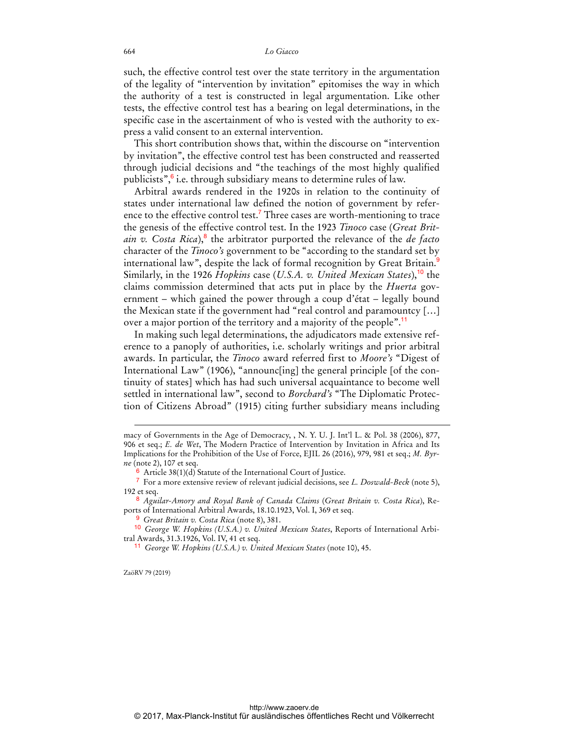## 664 *Lo Giacco*

such, the effective control test over the state territory in the argumentation of the legality of "intervention by invitation" epitomises the way in which the authority of a test is constructed in legal argumentation. Like other tests, the effective control test has a bearing on legal determinations, in the specific case in the ascertainment of who is vested with the authority to express a valid consent to an external intervention.

This short contribution shows that, within the discourse on "intervention by invitation", the effective control test has been constructed and reasserted through judicial decisions and "the teachings of the most highly qualified publicists", $\frac{6}{7}$  i.e. through subsidiary means to determine rules of law.

Arbitral awards rendered in the 1920s in relation to the continuity of states under international law defined the notion of government by reference to the effective control test.<sup>7</sup> Three cases are worth-mentioning to trace the genesis of the effective control test. In the 1923 *Tinoco* case (*Great Britain v. Costa Rica*),<sup>8</sup> the arbitrator purported the relevance of the *de facto* character of the *Tinoco's* government to be "according to the standard set by international law", despite the lack of formal recognition by Great Britain.<sup>9</sup> Similarly, in the 1926 *Hopkins* case (*U.S.A. v. United Mexican States*),<sup>10</sup> the claims commission determined that acts put in place by the *Huerta* government – which gained the power through a coup d'état – legally bound the Mexican state if the government had "real control and paramountcy […] over a major portion of the territory and a majority of the people".<sup>11</sup>

In making such legal determinations, the adjudicators made extensive reference to a panoply of authorities, i.e. scholarly writings and prior arbitral awards. In particular, the *Tinoco* award referred first to *Moore's* "Digest of International Law" (1906), "announc[ing] the general principle [of the continuity of states] which has had such universal acquaintance to become well settled in international law", second to *Borchard's* "The Diplomatic Protection of Citizens Abroad" (1915) citing further subsidiary means including

ZaöRV 79 (2019)

 $\overline{a}$ 

macy of Governments in the Age of Democracy, , N. Y. U. J. Int'l L. & Pol. 38 (2006), 877, 906 et seq.; *E. de Wet*, The Modern Practice of Intervention by Invitation in Africa and Its Implications for the Prohibition of the Use of Force, EJIL 26 (2016), 979, 981 et seq.; *M. Byrne* (note 2), 107 et seq.

<sup>6</sup> Article 38(1)(d) Statute of the International Court of Justice.

<sup>7</sup> For a more extensive review of relevant judicial decisions, see *L. Doswald-Beck* (note 5), 192 et seq.

<sup>8</sup> *Aguilar-Amory and Royal Bank of Canada Claims* (*Great Britain v. Costa Rica*), Reports of International Arbitral Awards, 18.10.1923, Vol. I, 369 et seq.

<sup>9</sup> *Great Britain v. Costa Rica* (note 8), 381.

<sup>10</sup> *George W. Hopkins (U.S.A.) v. United Mexican States*, Reports of International Arbitral Awards, 31.3.1926, Vol. IV, 41 et seq.

<sup>11</sup> *George W. Hopkins (U.S.A.) v. United Mexican States* (note 10), 45.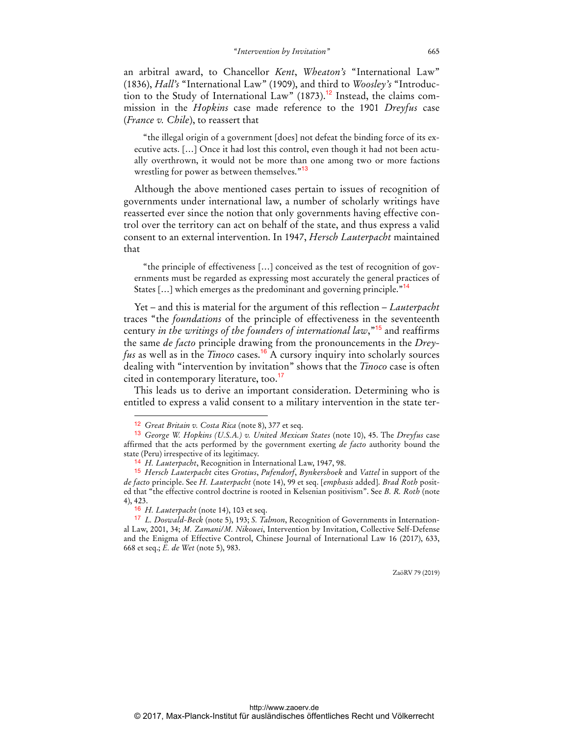an arbitral award, to Chancellor *Kent*, *Wheaton's* "International Law" (1836), *Hall's* "International Law" (1909), and third to *Woosley's* "Introduction to the Study of International Law" (1873).<sup>12</sup> Instead, the claims commission in the *Hopkins* case made reference to the 1901 *Dreyfus* case (*France v. Chile*), to reassert that

"the illegal origin of a government [does] not defeat the binding force of its executive acts. […] Once it had lost this control, even though it had not been actually overthrown, it would not be more than one among two or more factions wrestling for power as between themselves."<sup>13</sup>

Although the above mentioned cases pertain to issues of recognition of governments under international law, a number of scholarly writings have reasserted ever since the notion that only governments having effective control over the territory can act on behalf of the state, and thus express a valid consent to an external intervention. In 1947, *Hersch Lauterpacht* maintained that

"the principle of effectiveness […] conceived as the test of recognition of governments must be regarded as expressing most accurately the general practices of States [...] which emerges as the predominant and governing principle."<sup>14</sup>

Yet – and this is material for the argument of this reflection – *Lauterpacht* traces "the *foundations* of the principle of effectiveness in the seventeenth century *in the writings of the founders of international law*,"<sup>15</sup> and reaffirms the same *de facto* principle drawing from the pronouncements in the *Dreyfus* as well as in the *Tinoco* cases.<sup>16</sup> A cursory inquiry into scholarly sources dealing with "intervention by invitation" shows that the *Tinoco* case is often cited in contemporary literature, too.<sup>17</sup>

This leads us to derive an important consideration. Determining who is entitled to express a valid consent to a military intervention in the state ter-

 $\overline{a}$ 

ZaöRV 79 (2019)

<sup>12</sup> *Great Britain v. Costa Rica* (note 8), 377 et seq.

<sup>13</sup> *George W. Hopkins (U.S.A.) v. United Mexican States* (note 10), 45. The *Dreyfus* case affirmed that the acts performed by the government exerting *de facto* authority bound the state (Peru) irrespective of its legitimacy.

<sup>14</sup> *H. Lauterpacht*, Recognition in International Law, 1947, 98.

<sup>15</sup> *Hersch Lauterpacht* cites *Grotius*, *Pufendorf*, *Bynkershoek* and *Vattel* in support of the *de facto* principle. See *H. Lauterpacht* (note 14), 99 et seq. [*emphasis* added]. *Brad Roth* posited that "the effective control doctrine is rooted in Kelsenian positivism". See *B. R. Roth* (note 4), 423.

<sup>16</sup> *H. Lauterpacht* (note 14), 103 et seq.

<sup>17</sup> *L. Doswald-Beck* (note 5), 193; *S. Talmon*, Recognition of Governments in International Law, 2001, 34; *M. Zamani/M. Nikouei*, Intervention by Invitation, Collective Self-Defense and the Enigma of Effective Control, Chinese Journal of International Law 16 (2017), 633, 668 et seq.; *E. de Wet* (note 5), 983.